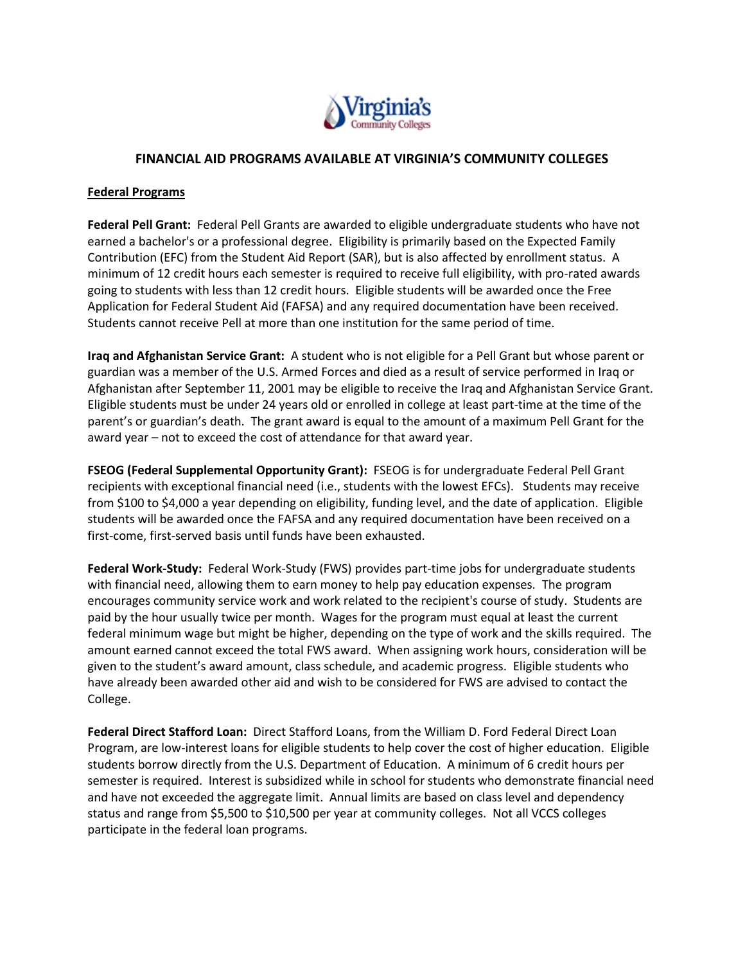

## **FINANCIAL AID PROGRAMS AVAILABLE AT VIRGINIA'S COMMUNITY COLLEGES**

### **Federal Programs**

**Federal Pell Grant:** Federal Pell Grants are awarded to eligible undergraduate students who have not earned a bachelor's or a professional degree. Eligibility is primarily based on the Expected Family Contribution (EFC) from the Student Aid Report (SAR), but is also affected by enrollment status. A minimum of 12 credit hours each semester is required to receive full eligibility, with pro-rated awards going to students with less than 12 credit hours. Eligible students will be awarded once the Free Application for Federal Student Aid (FAFSA) and any required documentation have been received. Students cannot receive Pell at more than one institution for the same period of time.

**Iraq and Afghanistan Service Grant:** A student who is not eligible for a Pell Grant but whose parent or guardian was a member of the U.S. Armed Forces and died as a result of service performed in Iraq or Afghanistan after September 11, 2001 may be eligible to receive the Iraq and Afghanistan Service Grant. Eligible students must be under 24 years old or enrolled in college at least part-time at the time of the parent's or guardian's death. The grant award is equal to the amount of a maximum Pell Grant for the award year – not to exceed the cost of attendance for that award year.

**FSEOG (Federal Supplemental Opportunity Grant):** FSEOG is for undergraduate Federal Pell Grant recipients with exceptional financial need (i.e., students with the lowest EFCs). Students may receive from \$100 to \$4,000 a year depending on eligibility, funding level, and the date of application. Eligible students will be awarded once the FAFSA and any required documentation have been received on a first-come, first-served basis until funds have been exhausted.

**Federal Work-Study:** Federal Work-Study (FWS) provides part-time jobs for undergraduate students with financial need, allowing them to earn money to help pay education expenses. The program encourages community service work and work related to the recipient's course of study. Students are paid by the hour usually twice per month. Wages for the program must equal at least the current federal minimum wage but might be higher, depending on the type of work and the skills required. The amount earned cannot exceed the total FWS award. When assigning work hours, consideration will be given to the student's award amount, class schedule, and academic progress. Eligible students who have already been awarded other aid and wish to be considered for FWS are advised to contact the College.

**Federal Direct Stafford Loan:** Direct Stafford Loans, from the William D. Ford Federal Direct Loan Program, are low-interest loans for eligible students to help cover the cost of higher education. Eligible students borrow directly from the U.S. Department of Education. A minimum of 6 credit hours per semester is required. Interest is subsidized while in school for students who demonstrate financial need and have not exceeded the aggregate limit. Annual limits are based on class level and dependency status and range from \$5,500 to \$10,500 per year at community colleges. Not all VCCS colleges participate in the federal loan programs.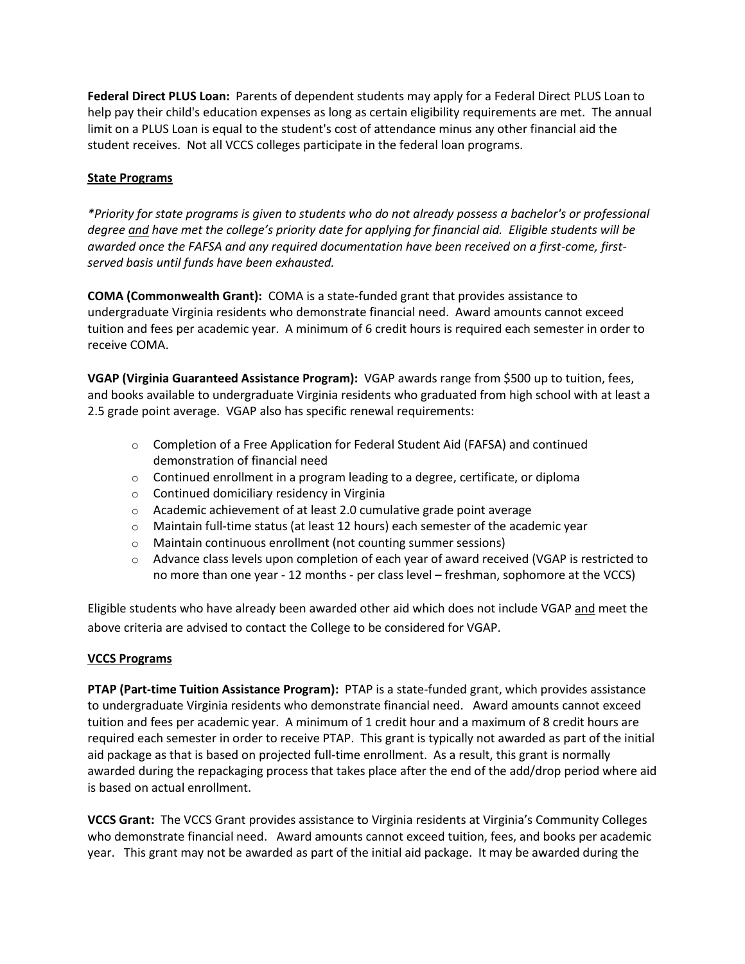**Federal Direct PLUS Loan:** Parents of dependent students may apply for a Federal Direct PLUS Loan to help pay their child's education expenses as long as certain eligibility requirements are met. The annual limit on a PLUS Loan is equal to the student's cost of attendance minus any other financial aid the student receives. Not all VCCS colleges participate in the federal loan programs.

# **State Programs**

*\*Priority for state programs is given to students who do not already possess a bachelor's or professional degree and have met the college's priority date for applying for financial aid. Eligible students will be awarded once the FAFSA and any required documentation have been received on a first-come, firstserved basis until funds have been exhausted.*

**COMA (Commonwealth Grant):** COMA is a state-funded grant that provides assistance to undergraduate Virginia residents who demonstrate financial need. Award amounts cannot exceed tuition and fees per academic year. A minimum of 6 credit hours is required each semester in order to receive COMA.

**VGAP (Virginia Guaranteed Assistance Program):** VGAP awards range from \$500 up to tuition, fees, and books available to undergraduate Virginia residents who graduated from high school with at least a 2.5 grade point average. VGAP also has specific renewal requirements:

- o Completion of a Free Application for Federal Student Aid (FAFSA) and continued demonstration of financial need
- $\circ$  Continued enrollment in a program leading to a degree, certificate, or diploma
- o Continued domiciliary residency in Virginia
- o Academic achievement of at least 2.0 cumulative grade point average
- $\circ$  Maintain full-time status (at least 12 hours) each semester of the academic year
- o Maintain continuous enrollment (not counting summer sessions)
- $\circ$  Advance class levels upon completion of each year of award received (VGAP is restricted to no more than one year - 12 months - per class level – freshman, sophomore at the VCCS)

Eligible students who have already been awarded other aid which does not include VGAP and meet the above criteria are advised to contact the College to be considered for VGAP.

## **VCCS Programs**

**PTAP (Part-time Tuition Assistance Program):** PTAP is a state-funded grant, which provides assistance to undergraduate Virginia residents who demonstrate financial need. Award amounts cannot exceed tuition and fees per academic year. A minimum of 1 credit hour and a maximum of 8 credit hours are required each semester in order to receive PTAP. This grant is typically not awarded as part of the initial aid package as that is based on projected full-time enrollment. As a result, this grant is normally awarded during the repackaging process that takes place after the end of the add/drop period where aid is based on actual enrollment.

**VCCS Grant:** The VCCS Grant provides assistance to Virginia residents at Virginia's Community Colleges who demonstrate financial need. Award amounts cannot exceed tuition, fees, and books per academic year. This grant may not be awarded as part of the initial aid package. It may be awarded during the